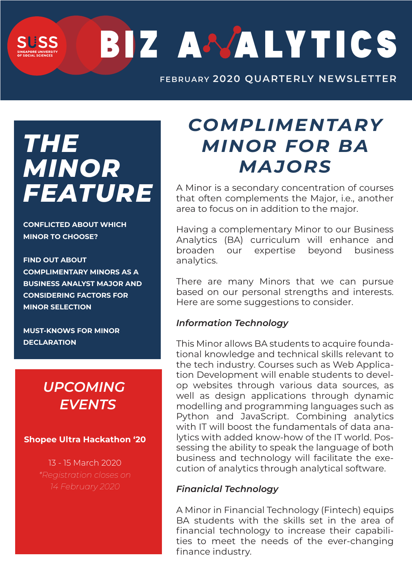BIZ A MALYTICS

**OCTOBER 2019 QUARTERLY NEWSLETTER FEBRUARY 2020** 

# *THE MINOR FEATURE*

**CONFLICTED ABOUT WHICH MINOR TO CHOOSE?** 

**FIND OUT ABOUT COMPLIMENTARY MINORS AS A BUSINESS ANALYST MAJOR AND CONSIDERING FACTORS FOR MINOR SELECTION**

**MUST-KNOWS FOR MINOR DECLARATION**

## *UPCOMING EVENTS*

**Shopee Ultra Hackathon '20**

13 - 15 March 2020 *\*Registration closes on 14 February 2020*

# *COMPLIMENTARY MINOR FOR BA MAJORS*

A Minor is a secondary concentration of courses that often complements the Major, i.e., another area to focus on in addition to the major.

Having a complementary Minor to our Business Analytics (BA) curriculum will enhance and broaden our expertise beyond business analytics.

There are many Minors that we can pursue based on our personal strengths and interests. Here are some suggestions to consider.

#### *Information Technology*

This Minor allows BA students to acquire foundational knowledge and technical skills relevant to the tech industry. Courses such as Web Application Development will enable students to develop websites through various data sources, as well as design applications through dynamic modelling and programming languages such as Python and JavaScript. Combining analytics with IT will boost the fundamentals of data analytics with added know-how of the IT world. Possessing the ability to speak the language of both business and technology will facilitate the execution of analytics through analytical software.

#### *Finaniclal Technology*

A Minor in Financial Technology (Fintech) equips BA students with the skills set in the area of financial technology to increase their capabilities to meet the needs of the ever-changing finance industry.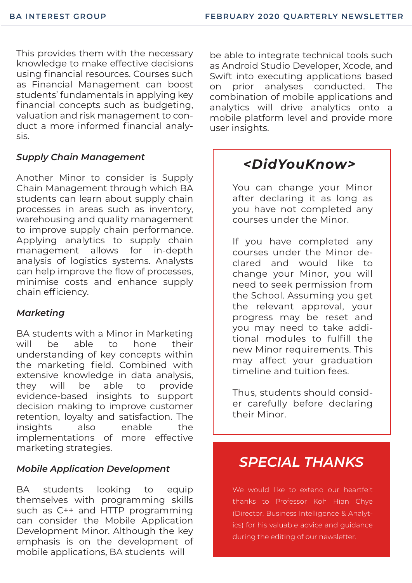This provides them with the necessary knowledge to make effective decisions using financial resources. Courses such as Financial Management can boost students' fundamentals in applying key financial concepts such as budgeting, valuation and risk management to conduct a more informed financial analysis.

#### *Supply Chain Management*

Another Minor to consider is Supply Chain Management through which BA students can learn about supply chain processes in areas such as inventory, warehousing and quality management to improve supply chain performance. Applying analytics to supply chain management allows for in-depth analysis of logistics systems. Analysts can help improve the flow of processes, minimise costs and enhance supply chain efficiency.

#### *Marketing*

BA students with a Minor in Marketing will be able to hone their understanding of key concepts within the marketing field. Combined with extensive knowledge in data analysis, they will be able to provide evidence-based insights to support decision making to improve customer retention, loyalty and satisfaction. The insights also enable the implementations of more effective marketing strategies.

#### *Mobile Application Development*

BA students looking to equip themselves with programming skills such as C++ and HTTP programming can consider the Mobile Application Development Minor. Although the key emphasis is on the development of mobile applications, BA students will

be able to integrate technical tools such as Android Studio Developer, Xcode, and Swift into executing applications based on prior analyses conducted. The combination of mobile applications and analytics will drive analytics onto a mobile platform level and provide more user insights.

### *<DidYouKnow>*

You can change your Minor after declaring it as long as you have not completed any courses under the Minor.

If you have completed any courses under the Minor declared and would like to change your Minor, you will need to seek permission from the School. Assuming you get the relevant approval, your progress may be reset and you may need to take additional modules to fulfill the new Minor requirements. This may affect your graduation timeline and tuition fees.

Thus, students should consider carefully before declaring their Minor.

### *SPECIAL THANKS*

We would like to extend our heartfelt thanks to Professor Koh Hian Chye (Director, Business Intelligence & Analytics) for his valuable advice and guidance during the editing of our newsletter.